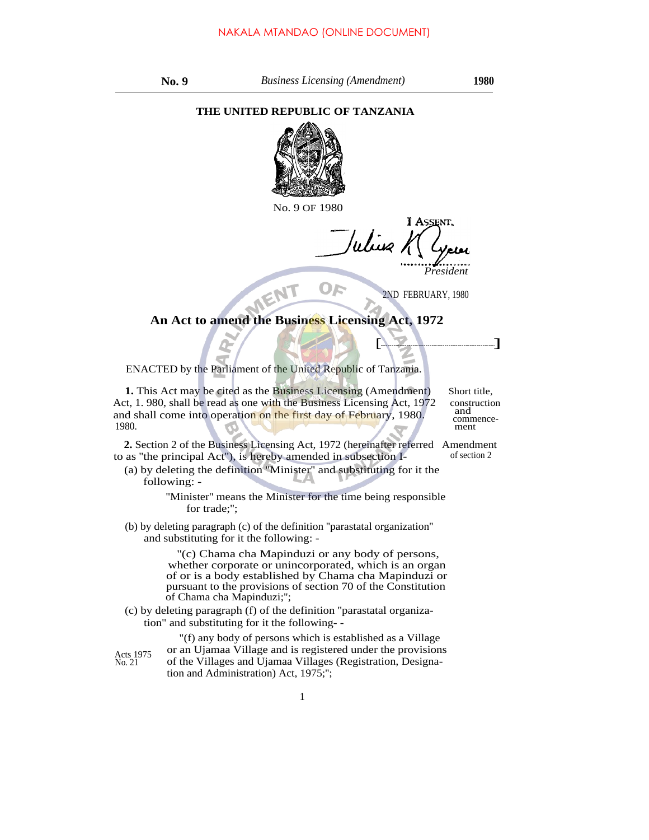## **THE UNITED REPUBLIC OF TANZANIA**



No. 9 OF 1980

Wiig *President*

2ND FEBRUARY, 1980

 $\sqrt{2}$ 

## **An Act to amend the Business Licensing Act, 1972**

ENACTED by the Parliament of the United Republic of Tanzania.

**1.** This Act may be cited as the Business Licensing (Amendment) Short title, Act, 1. 980, shall be read as one with the Business Licensing Act, 1972 construction<br>and shall come into operation on the first day of February 1980 and shall come into operation on the first day of February, 1980. commence-<br>1980. commence-1980. **ment** 

**2.** Section 2 of the Business Licensing Act, 1972 (hereinafter referred Amendment to as ''the principal Act''), is hereby amended in subsection I- of section 2

(a) by deleting the definition ''Minister'' and substituting for it the following: -

> ''Minister'' means the Minister for the time being responsible for trade;'';

(b) by deleting paragraph (c) of the definition ''parastatal organization'' and substituting for it the following: -

> ''(c) Chama cha Mapinduzi or any body of persons, whether corporate or unincorporated, which is an organ of or is a body established by Chama cha Mapinduzi or pursuant to the provisions of section 70 of the Constitution of Chama cha Mapinduzi;'';

(c) by deleting paragraph (f) of the definition ''parastatal organization" and substituting for it the following- -

Acts 1975 No. 21

"(f) any body of persons which is established as a Village or an Ujamaa Village and is registered under the provisions of the Villages and Ujamaa Villages (Registration, Designation and Administration) Act, 1975;'';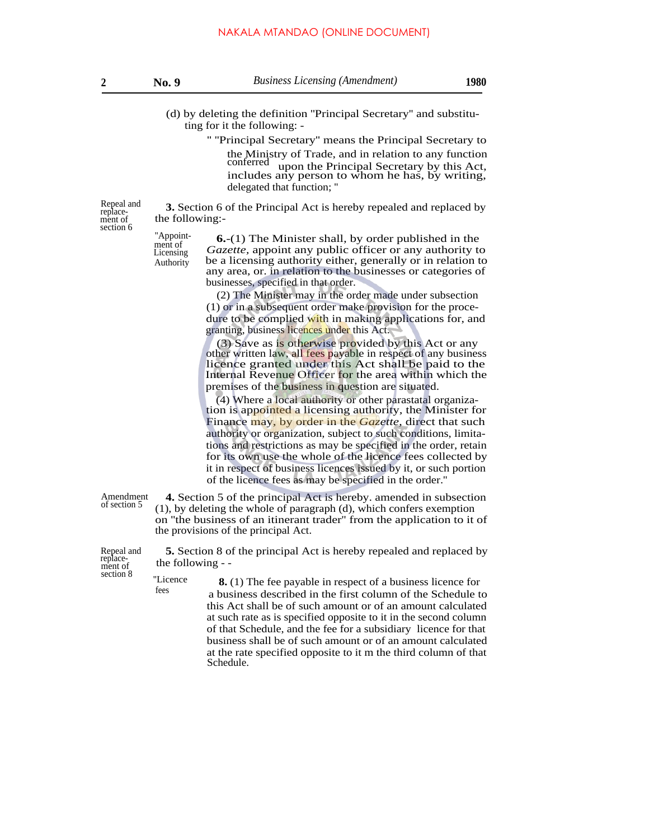| No. |  |
|-----|--|
|     |  |

- (d) by deleting the definition ''Principal Secretary'' and substituting for it the following: -
	- '' ''Principal Secretary'' means the Principal Secretary to the Ministry of Trade, and in relation to any function conferred upon the Principal Secretary by this Act, includes any person to whom he has, by writing, delegated that function; ''

Repeal and **3.** Section 6 of the Principal Act is hereby repealed and replaced by replacethe following:-

> ment of Licensing Authority

 $\frac{1}{2}$ <sup>''Appoint- **6.**-(1) The Minister shall, by order published in the</sup> *Gazette,* appoint any public officer or any authority to be a licensing authority either, generally or in relation to any area, or. in relation to the businesses or categories of businesses, specified in that order.

> (2) The Minister may in the order made under subsection (1) or in a subsequent order make provision for the procedure to be complied with in making applications for, and granting, business licences under this Act.

> (3) Save as is otherwise provided by this Act or any other written law, all fees payable in respect of any business licence granted under this Act shall be paid to the Internal Revenue Officer for the area within which the premises of the business in question are situated.

> (4) Where a local authority or other parastatal organization is appointed a licensing authority, the Minister for Finance may, by order in the *Gazette,* direct that such authority or organization, subject to such conditions, limitations and restrictions as may be specified in the order, retain for its own use the whole of the licence fees collected by it in respect of business licences issued by it, or such portion of the licence fees as may be specified in the order.''

Amendment of section 5

**4.** Section 5 of the principal Act is hereby. amended in subsection (1), by deleting the whole of paragraph (d), which confers exemption on ''the business of an itinerant trader'' from the application to it of the provisions of the principal Act.

Repeal and replace-ment of

fees

**5.** Section 8 of the principal Act is hereby repealed and replaced by the following - -

section 8 ''Licence **8.** (1) The fee payable in respect of a business licence for a business described in the first column of the Schedule to this Act shall be of such amount or of an amount calculated at such rate as is specified opposite to it in the second column of that Schedule, and the fee for a subsidiary licence for that business shall be of such amount or of an amount calculated at the rate specified opposite to it m the third column of that Schedule.

ment of section 6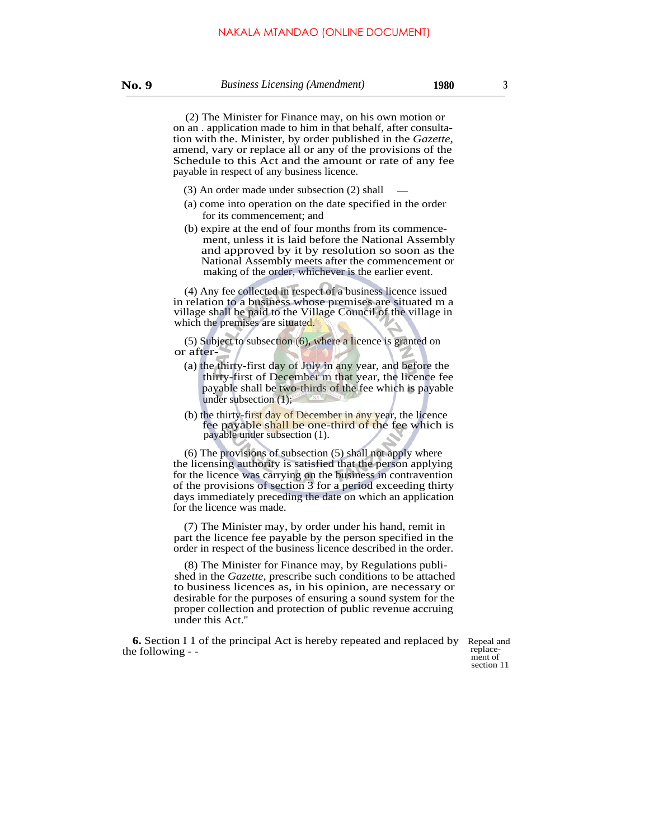(2) The Minister for Finance may, on his own motion or on an . application made to him in that behalf, after consultation with the. Minister, by order published in the *Gazette,* amend, vary or replace all or any of the provisions of the Schedule to this Act and the amount or rate of any fee payable in respect of any business licence.

- (3) An order made under subsection (2) shall
- (a) come into operation on the date specified in the order for its commencement; and
- (b) expire at the end of four months from its commencement, unless it is laid before the National Assembly and approved by it by resolution so soon as the National Assembly meets after the commencement or making of the order, whichever is the earlier event.

(4) Any fee collected in respect of a business licence issued in relation to a business whose premises are situated m a village shall be paid to the Village Council of the village in which the premises are situated.

(5) Subject to subsection (6), where a licence is granted on or after-

- (a) the thirty-first day of July in any year, and before the thirty-first of December m that year, the licence fee payable shall be two-thirds of the fee which is payable under subsection (1);
- (b) the thirty-first day of December in any year, the licence fee payable shall be one-third of the fee which is payable under subsection (1).

(6) The provisions of subsection (5) shall not apply where the licensing authority is satisfied that the person applying for the licence was carrying on the business in contravention of the provisions of section 3 for a period exceeding thirty days immediately preceding the date on which an application for the licence was made.

(7) The Minister may, by order under his hand, remit in part the licence fee payable by the person specified in the order in respect of the business licence described in the order.

(8) The Minister for Finance may, by Regulations published in the *Gazette,* prescribe such conditions to be attached to business licences as, in his opinion, are necessary or desirable for the purposes of ensuring a sound system for the proper collection and protection of public revenue accruing under this Act.''

**6.** Section I 1 of the principal Act is hereby repeated and replaced by Repeal and replacethe following - - the following - - ment of

section 11